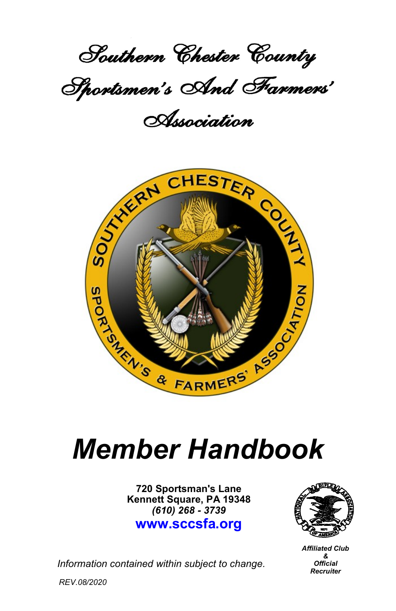

Association



# *Member Handbook*

**720 Sportsman's Lane Kennett Square, PA 19348** *(610) 268 - 3739* **www.sccsfa.org**



*Affiliated Club & Official Recruiter*

*Information contained within subject to change.*

*REV.08/2020*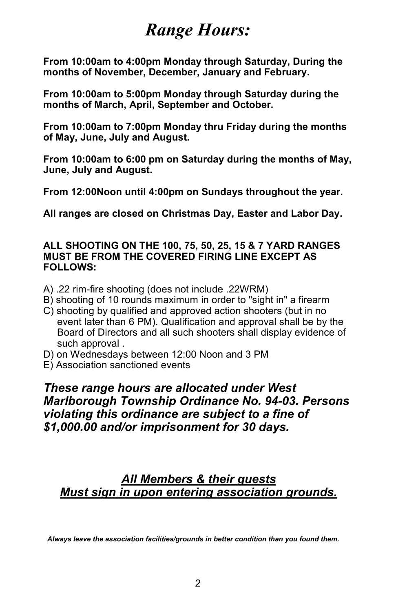## *Range Hours:*

**From 10:00am to 4:00pm Monday through Saturday, During the months of November, December, January and February.**

**From 10:00am to 5:00pm Monday through Saturday during the months of March, April, September and October.**

**From 10:00am to 7:00pm Monday thru Friday during the months of May, June, July and August.** 

**From 10:00am to 6:00 pm on Saturday during the months of May, June, July and August.**

**From 12:00Noon until 4:00pm on Sundays throughout the year.**

**All ranges are closed on Christmas Day, Easter and Labor Day.**

#### **ALL SHOOTING ON THE 100, 75, 50, 25, 15 & 7 YARD RANGES MUST BE FROM THE COVERED FIRING LINE EXCEPT AS FOLLOWS:**

- A) .22 rim-fire shooting (does not include .22WRM)
- B) shooting of 10 rounds maximum in order to "sight in" a firearm
- C) shooting by qualified and approved action shooters (but in no event later than 6 PM). Qualification and approval shall be by the Board of Directors and all such shooters shall display evidence of such approval .
- D) on Wednesdays between 12:00 Noon and 3 PM
- E) Association sanctioned events

*These range hours are allocated under West Marlborough Township Ordinance No. 94-03. Persons violating this ordinance are subject to a fine of \$1,000.00 and/or imprisonment for 30 days.* 

## *All Members & their guests Must sign in upon entering association grounds.*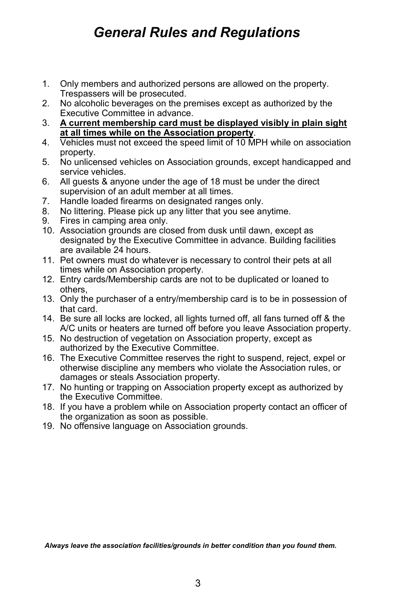## *General Rules and Regulations*

- 1. Only members and authorized persons are allowed on the property. Trespassers will be prosecuted.
- 2. No alcoholic beverages on the premises except as authorized by the Executive Committee in advance.
- 3. **A current membership card must be displayed visibly in plain sight at all times while on the Association property**.
- 4. Vehicles must not exceed the speed limit of 10 MPH while on association property.
- 5. No unlicensed vehicles on Association grounds, except handicapped and service vehicles.
- 6. All guests & anyone under the age of 18 must be under the direct supervision of an adult member at all times.
- 7. Handle loaded firearms on designated ranges only.
- 8. No littering. Please pick up any litter that you see anytime.
- 9. Fires in camping area only.
- 10. Association grounds are closed from dusk until dawn, except as designated by the Executive Committee in advance. Building facilities are available 24 hours.
- 11. Pet owners must do whatever is necessary to control their pets at all times while on Association property.
- 12. Entry cards/Membership cards are not to be duplicated or loaned to others,
- 13. Only the purchaser of a entry/membership card is to be in possession of that card.
- 14. Be sure all locks are locked, all lights turned off, all fans turned off & the A/C units or heaters are turned off before you leave Association property.
- 15. No destruction of vegetation on Association property, except as authorized by the Executive Committee.
- 16. The Executive Committee reserves the right to suspend, reject, expel or otherwise discipline any members who violate the Association rules, or damages or steals Association property.
- 17. No hunting or trapping on Association property except as authorized by the Executive Committee.
- 18. If you have a problem while on Association property contact an officer of the organization as soon as possible.
- 19. No offensive language on Association grounds.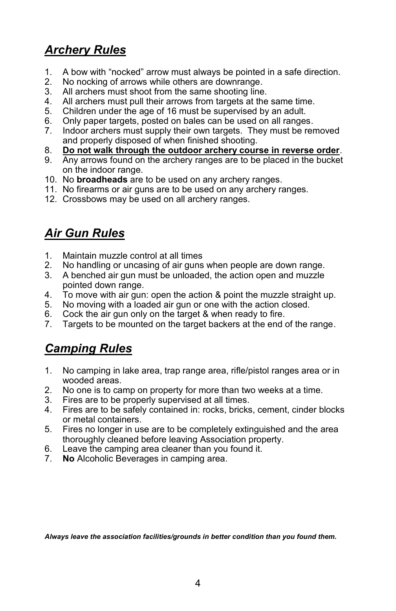## *Archery Rules*

- 1. A bow with "nocked" arrow must always be pointed in a safe direction.
- 2. No nocking of arrows while others are downrange.
- All archers must shoot from the same shooting line.
- 4. All archers must pull their arrows from targets at the same time.
- 5. Children under the age of 16 must be supervised by an adult.
- 6. Only paper targets, posted on bales can be used on all ranges.
- 7. Indoor archers must supply their own targets. They must be removed and properly disposed of when finished shooting.
- 8. **Do not walk through the outdoor archery course in reverse order**.
- 9. Any arrows found on the archery ranges are to be placed in the bucket on the indoor range.
- 10. No **broadheads** are to be used on any archery ranges.
- 11. No firearms or air guns are to be used on any archery ranges.
- 12. Crossbows may be used on all archery ranges.

## *Air Gun Rules*

- 1. Maintain muzzle control at all times
- 2. No handling or uncasing of air guns when people are down range.
- 3. A benched air gun must be unloaded, the action open and muzzle pointed down range.
- 4. To move with air gun: open the action & point the muzzle straight up.
- 5. No moving with a loaded air gun or one with the action closed.
- 6. Cock the air gun only on the target & when ready to fire.
- 7. Targets to be mounted on the target backers at the end of the range.

## *Camping Rules*

- 1. No camping in lake area, trap range area, rifle/pistol ranges area or in wooded areas.
- 2. No one is to camp on property for more than two weeks at a time.
- 3. Fires are to be properly supervised at all times.
- 4. Fires are to be safely contained in: rocks, bricks, cement, cinder blocks or metal containers.
- 5. Fires no longer in use are to be completely extinguished and the area thoroughly cleaned before leaving Association property.
- 6. Leave the camping area cleaner than you found it.
- 7. **No** Alcoholic Beverages in camping area.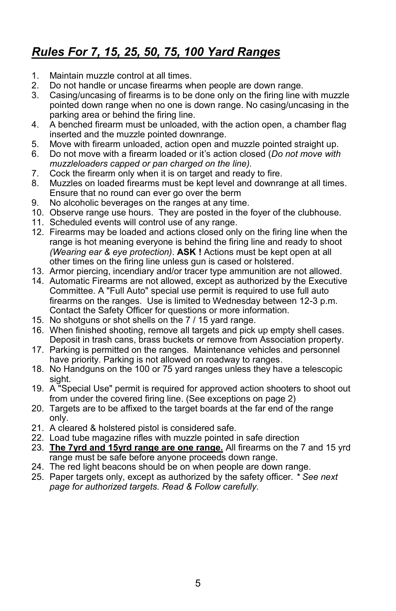## *Rules For 7, 15, 25, 50, 75, 100 Yard Ranges*

- 1. Maintain muzzle control at all times.<br>2. Do not handle or uncase firearms wi
- 2. Do not handle or uncase firearms when people are down range.
- 3. Casing/uncasing of firearms is to be done only on the firing line with muzzle pointed down range when no one is down range. No casing/uncasing in the parking area or behind the firing line.
- 4. A benched firearm must be unloaded, with the action open, a chamber flag inserted and the muzzle pointed downrange.
- 5. Move with firearm unloaded, action open and muzzle pointed straight up.
- 6. Do not move with a firearm loaded or it's action closed (*Do not move with muzzleloaders capped or pan charged on the line).*
- 7. Cock the firearm only when it is on target and ready to fire.
- Muzzles on loaded firearms must be kept level and downrange at all times. Ensure that no round can ever go over the berm
- 9. No alcoholic beverages on the ranges at any time.
- 10. Observe range use hours. They are posted in the foyer of the clubhouse.
- 11. Scheduled events will control use of any range.
- 12. Firearms may be loaded and actions closed only on the firing line when the range is hot meaning everyone is behind the firing line and ready to shoot *(Wearing ear & eye protection)*. **ASK !** Actions must be kept open at all other times on the firing line unless gun is cased or holstered.
- 13. Armor piercing, incendiary and/or tracer type ammunition are not allowed.
- 14. Automatic Firearms are not allowed, except as authorized by the Executive Committee. A "Full Auto" special use permit is required to use full auto firearms on the ranges. Use is limited to Wednesday between 12-3 p.m. Contact the Safety Officer for questions or more information.
- 15. No shotguns or shot shells on the 7 / 15 yard range.
- 16. When finished shooting, remove all targets and pick up empty shell cases. Deposit in trash cans, brass buckets or remove from Association property.
- 17. Parking is permitted on the ranges. Maintenance vehicles and personnel have priority. Parking is not allowed on roadway to ranges.
- 18. No Handguns on the 100 or 75 yard ranges unless they have a telescopic sight.
- 19. A "Special Use" permit is required for approved action shooters to shoot out from under the covered firing line. (See exceptions on page 2)
- 20. Targets are to be affixed to the target boards at the far end of the range only.
- 21. A cleared & holstered pistol is considered safe.
- 22. Load tube magazine rifles with muzzle pointed in safe direction
- 23. **The 7yrd and 15yrd range are one range.** All firearms on the 7 and 15 yrd range must be safe before anyone proceeds down range.
- 24. The red light beacons should be on when people are down range.
- 25. Paper targets only, except as authorized by the safety officer. *\* See next page for authorized targets. Read & Follow carefully.*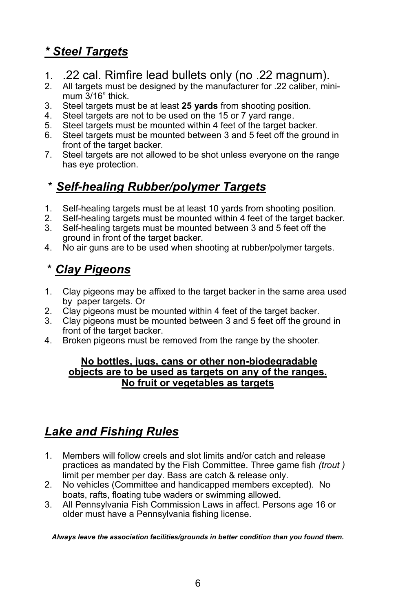## *\* Steel Targets*

- 1. .22 cal. Rimfire lead bullets only (no .22 magnum).
- 2. All targets must be designed by the manufacturer for .22 caliber, minimum 3/16" thick.
- 3. Steel targets must be at least **25 yards** from shooting position.
- 4. Steel targets are not to be used on the 15 or 7 yard range.
- 5. Steel targets must be mounted within 4 feet of the target backer.
- 6. Steel targets must be mounted between 3 and 5 feet off the ground in front of the target backer.
- 7. Steel targets are not allowed to be shot unless everyone on the range has eye protection.

## \* *Self-healing Rubber/polymer Targets*

- 1. Self-healing targets must be at least 10 yards from shooting position.
- 2. Self-healing targets must be mounted within 4 feet of the target backer.
- 3. Self-healing targets must be mounted between 3 and 5 feet off the ground in front of the target backer.
- 4. No air guns are to be used when shooting at rubber/polymer targets.

## \* *Clay Pigeons*

- 1. Clay pigeons may be affixed to the target backer in the same area used by paper targets. Or
- 2. Clay pigeons must be mounted within 4 feet of the target backer.
- 3. Clay pigeons must be mounted between 3 and 5 feet off the ground in front of the target backer.
- 4. Broken pigeons must be removed from the range by the shooter.

#### **No bottles, jugs, cans or other non-biodegradable objects are to be used as targets on any of the ranges. No fruit or vegetables as targets**

## *Lake and Fishing Rules*

- 1. Members will follow creels and slot limits and/or catch and release practices as mandated by the Fish Committee. Three game fish *(trout )* limit per member per day. Bass are catch & release only.
- 2. No vehicles (Committee and handicapped members excepted). No boats, rafts, floating tube waders or swimming allowed.
- 3. All Pennsylvania Fish Commission Laws in affect. Persons age 16 or older must have a Pennsylvania fishing license.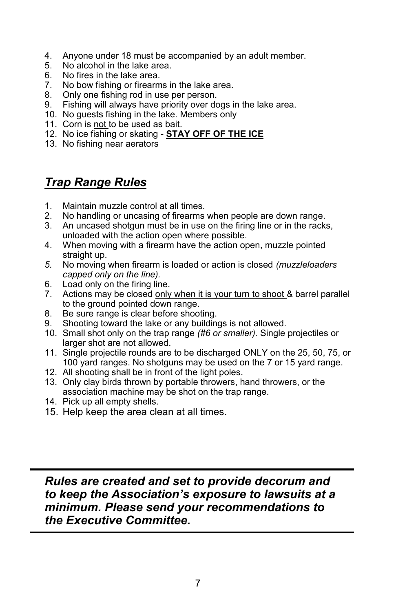- 4. Anyone under 18 must be accompanied by an adult member.
- 5. No alcohol in the lake area.
- 6. No fires in the lake area.
- 7. No bow fishing or firearms in the lake area.
- 8. Only one fishing rod in use per person.
- 9. Fishing will always have priority over dogs in the lake area.
- 10. No guests fishing in the lake. Members only
- 11. Corn is not to be used as bait.
- 12. No ice fishing or skating **STAY OFF OF THE ICE**
- 13. No fishing near aerators

## *Trap Range Rules*

- 1. Maintain muzzle control at all times.<br>2. No handling or uncasing of firearms
- 2. No handling or uncasing of firearms when people are down range.
- 3. An uncased shotgun must be in use on the firing line or in the racks, unloaded with the action open where possible.
- 4. When moving with a firearm have the action open, muzzle pointed straight up.
- *5.* No moving when firearm is loaded or action is closed *(muzzleloaders capped only on the line).*
- 6. Load only on the firing line.
- 7. Actions may be closed only when it is your turn to shoot & barrel parallel to the ground pointed down range.
- 8. Be sure range is clear before shooting.
- 9. Shooting toward the lake or any buildings is not allowed.
- 10. Small shot only on the trap range *(#6 or smaller).* Single projectiles or larger shot are not allowed.
- 11. Single projectile rounds are to be discharged ONLY on the 25, 50, 75, or 100 yard ranges. No shotguns may be used on the 7 or 15 yard range.
- 12. All shooting shall be in front of the light poles.
- 13. Only clay birds thrown by portable throwers, hand throwers, or the association machine may be shot on the trap range.
- 14. Pick up all empty shells.
- 15. Help keep the area clean at all times.

### *Rules are created and set to provide decorum and to keep the Association's exposure to lawsuits at a minimum. Please send your recommendations to the Executive Committee.*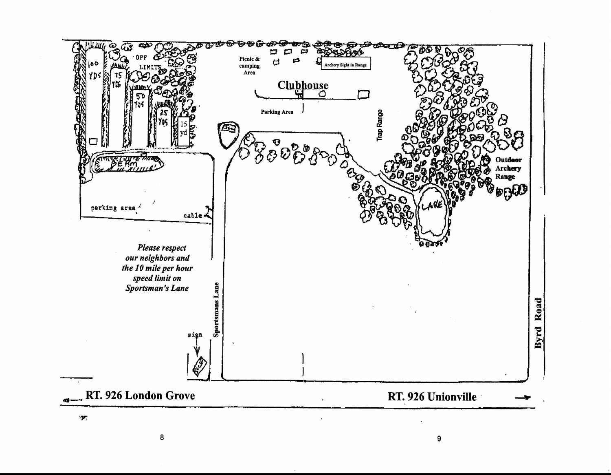

 $\boldsymbol{8}$ 

 $\pmb{9}$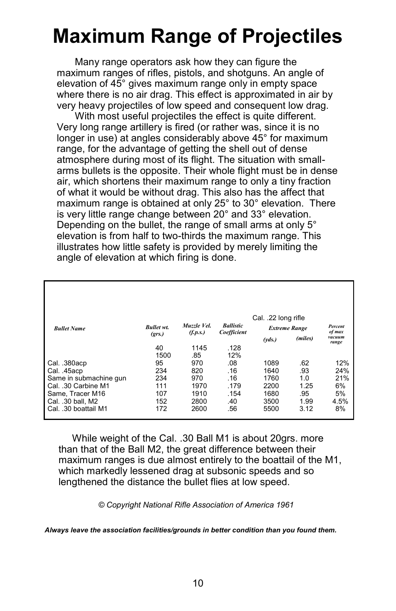## **Maximum Range of Projectiles**

Many range operators ask how they can figure the maximum ranges of rifles, pistols, and shotguns. An angle of elevation of 45° gives maximum range only in empty space where there is no air drag. This effect is approximated in air by very heavy projectiles of low speed and consequent low drag.

With most useful projectiles the effect is quite different. Very long range artillery is fired (or rather was, since it is no longer in use) at angles considerably above 45° for maximum range, for the advantage of getting the shell out of dense atmosphere during most of its flight. The situation with smallarms bullets is the opposite. Their whole flight must be in dense air, which shortens their maximum range to only a tiny fraction of what it would be without drag. This also has the affect that maximum range is obtained at only 25° to 30° elevation. There is very little range change between 20° and 33° elevation. Depending on the bullet, the range of small arms at only 5° elevation is from half to two-thirds the maximum range. This illustrates how little safety is provided by merely limiting the angle of elevation at which firing is done.

| <b>Bullet Name</b>     | <b>Bullet wt.</b><br>(grs.) | Muzzle Vel.<br>(f.p.s.) | <b>Ballistic</b><br>Coefficient | Cal. .22 long rifle<br><b>Extreme Range</b><br>(miles)<br>(vds.) |      | Percent<br>of max<br>vacuum<br>range |
|------------------------|-----------------------------|-------------------------|---------------------------------|------------------------------------------------------------------|------|--------------------------------------|
|                        | 40                          | 1145                    | .128                            |                                                                  |      |                                      |
|                        | 1500                        | .85                     | 12%                             |                                                                  |      |                                      |
| Cal. .380acp           | 95                          | 970                     | .08                             | 1089                                                             | .62  | 12%                                  |
| Cal. .45acp            | 234                         | 820                     | .16                             | 1640                                                             | .93  | 24%                                  |
| Same in submachine gun | 234                         | 970                     | .16                             | 1760                                                             | 1.0  | 21%                                  |
| Cal. .30 Carbine M1    | 111                         | 1970                    | .179                            | 2200                                                             | 1.25 | 6%                                   |
| Same, Tracer M16       | 107                         | 1910                    | .154                            | 1680                                                             | .95  | 5%                                   |
| Cal. .30 ball, M2      | 152                         | 2800                    | .40                             | 3500                                                             | 1.99 | 4.5%                                 |
| Cal. .30 boattail M1   | 172                         | 2600                    | .56                             | 5500                                                             | 3.12 | 8%                                   |

While weight of the Cal. .30 Ball M1 is about 20grs. more than that of the Ball M2, the great difference between their maximum ranges is due almost entirely to the boattail of the M1, which markedly lessened drag at subsonic speeds and so lengthened the distance the bullet flies at low speed.

 *© Copyright National Rifle Association of America 1961*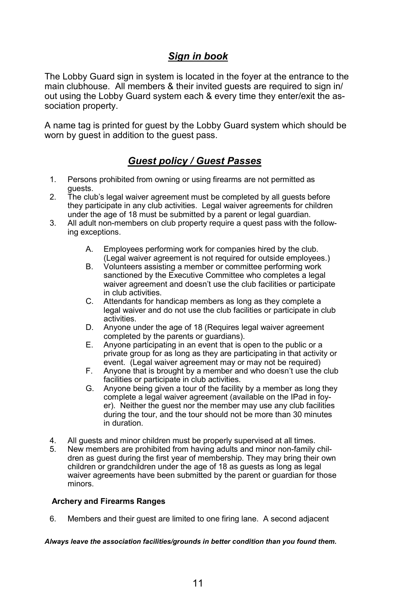### *Sign in book*

The Lobby Guard sign in system is located in the foyer at the entrance to the main clubhouse. All members & their invited guests are required to sign in/ out using the Lobby Guard system each & every time they enter/exit the association property.

A name tag is printed for guest by the Lobby Guard system which should be worn by guest in addition to the guest pass.

### *Guest policy / Guest Passes*

- 1. Persons prohibited from owning or using firearms are not permitted as guests.
- 2. The club's legal waiver agreement must be completed by all guests before they participate in any club activities. Legal waiver agreements for children under the age of 18 must be submitted by a parent or legal guardian.
- 3. All adult non-members on club property require a quest pass with the following exceptions.
	- A. Employees performing work for companies hired by the club. (Legal waiver agreement is not required for outside employees.)
	- B. Volunteers assisting a member or committee performing work sanctioned by the Executive Committee who completes a legal waiver agreement and doesn't use the club facilities or participate in club activities.
	- C. Attendants for handicap members as long as they complete a legal waiver and do not use the club facilities or participate in club activities.
	- D. Anyone under the age of 18 (Requires legal waiver agreement completed by the parents or guardians).
	- E. Anyone participating in an event that is open to the public or a private group for as long as they are participating in that activity or event. (Legal waiver agreement may or may not be required)
	- F. Anyone that is brought by a member and who doesn't use the club facilities or participate in club activities.
	- G. Anyone being given a tour of the facility by a member as long they complete a legal waiver agreement (available on the IPad in foyer). Neither the guest nor the member may use any club facilities during the tour, and the tour should not be more than 30 minutes in duration.
- 4. All guests and minor children must be properly supervised at all times.<br>5. New members are prohibited from having adults and minor non-family
- New members are prohibited from having adults and minor non-family children as guest during the first year of membership. They may bring their own children or grandchildren under the age of 18 as guests as long as legal waiver agreements have been submitted by the parent or guardian for those minors.

#### **Archery and Firearms Ranges**

6. Members and their guest are limited to one firing lane. A second adjacent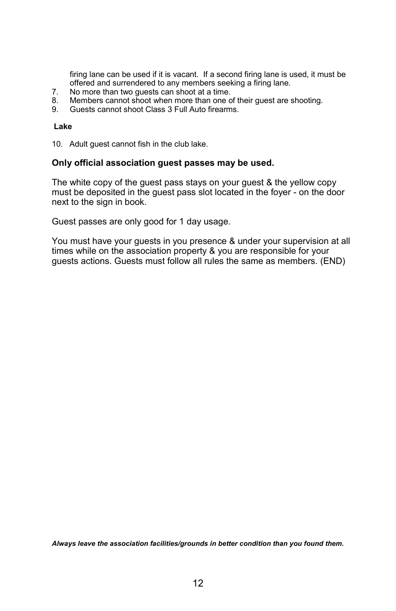firing lane can be used if it is vacant. If a second firing lane is used, it must be offered and surrendered to any members seeking a firing lane.

- 7. No more than two guests can shoot at a time.<br>8. Members cannot shoot when more than one c
- Members cannot shoot when more than one of their guest are shooting.
- 9. Guests cannot shoot Class 3 Full Auto firearms.

#### **Lake**

10. Adult guest cannot fish in the club lake.

#### **Only official association guest passes may be used.**

The white copy of the guest pass stays on your guest & the yellow copy must be deposited in the guest pass slot located in the foyer - on the door next to the sign in book.

Guest passes are only good for 1 day usage.

You must have your guests in you presence & under your supervision at all times while on the association property & you are responsible for your guests actions. Guests must follow all rules the same as members. (END)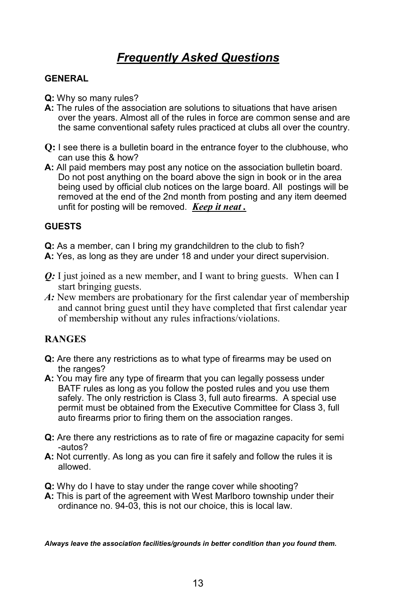## *Frequently Asked Questions*

#### **GENERAL**

- **Q:** Why so many rules?
- **A:** The rules of the association are solutions to situations that have arisen over the years. Almost all of the rules in force are common sense and are the same conventional safety rules practiced at clubs all over the country.
- **Q:** I see there is a bulletin board in the entrance foyer to the clubhouse, who can use this & how?
- **A:** All paid members may post any notice on the association bulletin board. Do not post anything on the board above the sign in book or in the area being used by official club notices on the large board. All postings will be removed at the end of the 2nd month from posting and any item deemed unfit for posting will be removed. *Keep it neat .*

#### **GUESTS**

- **Q:** As a member, can I bring my grandchildren to the club to fish?
- **A:** Yes, as long as they are under 18 and under your direct supervision.
- *Q*: I just joined as a new member, and I want to bring guests. When can I start bringing guests.
- *A:* New members are probationary for the first calendar year of membership and cannot bring guest until they have completed that first calendar year of membership without any rules infractions/violations.

#### **RANGES**

- **Q:** Are there any restrictions as to what type of firearms may be used on the ranges?
- **A:** You may fire any type of firearm that you can legally possess under BATF rules as long as you follow the posted rules and you use them safely. The only restriction is Class 3, full auto firearms. A special use permit must be obtained from the Executive Committee for Class 3, full auto firearms prior to firing them on the association ranges.
- **Q:** Are there any restrictions as to rate of fire or magazine capacity for semi -autos?
- **A:** Not currently. As long as you can fire it safely and follow the rules it is allowed.
- **Q:** Why do I have to stay under the range cover while shooting?
- **A:** This is part of the agreement with West Marlboro township under their ordinance no. 94-03, this is not our choice, this is local law.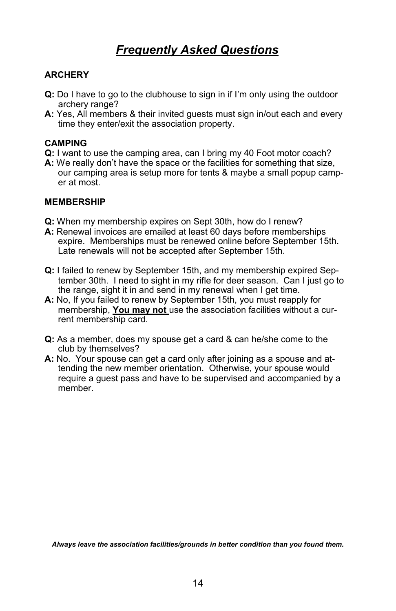## *Frequently Asked Questions*

#### **ARCHERY**

- **Q:** Do I have to go to the clubhouse to sign in if I'm only using the outdoor archery range?
- **A:** Yes, All members & their invited guests must sign in/out each and every time they enter/exit the association property.

#### **CAMPING**

- **Q:** I want to use the camping area, can I bring my 40 Foot motor coach?
- **A:** We really don't have the space or the facilities for something that size,
- our camping area is setup more for tents & maybe a small popup camper at most.

#### **MEMBERSHIP**

- **Q:** When my membership expires on Sept 30th, how do I renew?
- **A:** Renewal invoices are emailed at least 60 days before memberships expire. Memberships must be renewed online before September 15th. Late renewals will not be accepted after September 15th.
- **Q:** I failed to renew by September 15th, and my membership expired September 30th. I need to sight in my rifle for deer season. Can I just go to the range, sight it in and send in my renewal when I get time.
- **A:** No, If you failed to renew by September 15th, you must reapply for membership, **You may not** use the association facilities without a current membership card.
- **Q:** As a member, does my spouse get a card & can he/she come to the club by themselves?
- **A:** No. Your spouse can get a card only after joining as a spouse and attending the new member orientation. Otherwise, your spouse would require a guest pass and have to be supervised and accompanied by a member.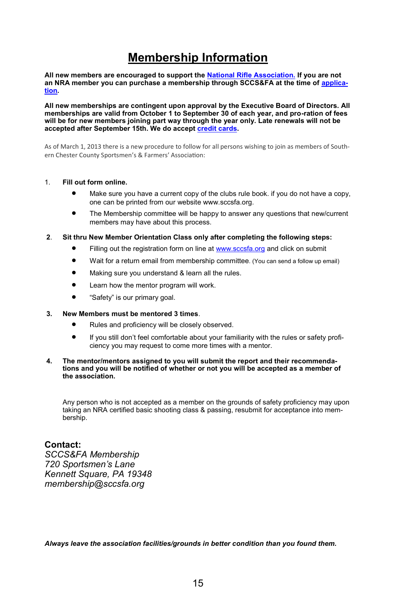## **Membership Information**

**All new members are encouraged to support the [National Rifle Association.](http://www.nra.org/) If you are not**  an NRA member you can purchase a membership through SCCS&FA at the time of [applica](http://www.sccsfa.org/page13/page13.html)**[tion.](http://www.sccsfa.org/page13/page13.html)**

**All new memberships are contingent upon approval by the Executive Board of Directors. All memberships are valid from October 1 to September 30 of each year, and pro-ration of fees will be for new members joining part way through the year only. Late renewals will not be accepted after September 15th. We do accept [credit cards.](http://www.sccsfa.org/page13/page13.html)**

As of March 1, 2013 there is a new procedure to follow for all persons wishing to join as members of Southern Chester County Sportsmen's & Farmers' Association:

#### 1. **Fill out form online.**

- Make sure you have a current copy of the clubs rule book. if you do not have a copy, one can be printed from our website www.sccsfa.org.
- The Membership committee will be happy to answer any questions that new/current members may have about this process.
- **2**. **Sit thru New Member Orientation Class only after completing the following steps:** 
	- Filling out the registration form on line at [www.sccsfa.org](http://www.sccsfa.org/) and click on submit
	- Wait for a return email from membership committee. (You can send a follow up email)
	- Making sure you understand & learn all the rules.
	- Learn how the mentor program will work.
	- "Safety" is our primary goal.

#### **3. New Members must be mentored 3 times**.

- Rules and proficiency will be closely observed.
- If you still don't feel comfortable about your familiarity with the rules or safety proficiency you may request to come more times with a mentor.

#### **4. The mentor/mentors assigned to you will submit the report and their recommendations and you will be notified of whether or not you will be accepted as a member of the association.**

Any person who is not accepted as a member on the grounds of safety proficiency may upon taking an NRA certified basic shooting class & passing, resubmit for acceptance into membership.

#### **Contact:**

*SCCS&FA Membership 720 Sportsmen's Lane Kennett Square, PA 19348 membership@sccsfa.org*